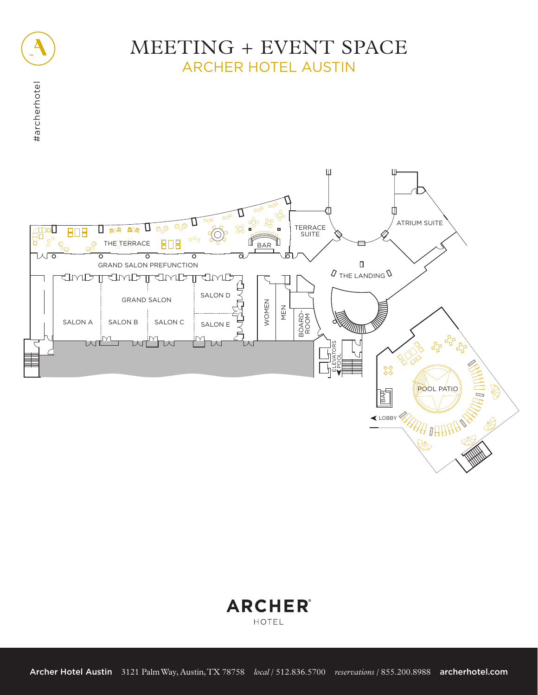

# **ARCHER® HOTEL**